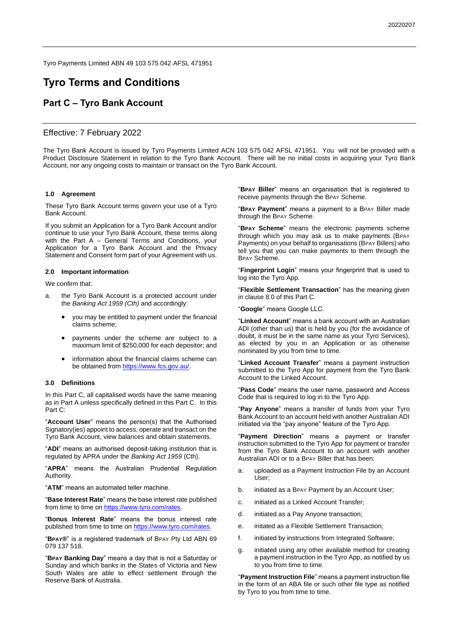Tyro Payments Limited ABN 49 103 575 042 AFSL 471951

# **Tyro Terms and Conditions**

# **Part C – Tyro Bank Account**

# Effective: 7 February 2022

The Tyro Bank Account is issued by Tyro Payments Limited ACN 103 575 042 AFSL 471951. You will not be provided with a Product Disclosure Statement in relation to the Tyro Bank Account. There will be no initial costs in acquiring your Tyro Bank Account, nor any ongoing costs to maintain or transact on the Tyro Bank Account.

#### **1.0 Agreement**

These Tyro Bank Account terms govern your use of a Tyro Bank Account.

If you submit an Application for a Tyro Bank Account and/or continue to use your Tyro Bank Account, these terms along with the Part A – General Terms and Conditions, your Application for a Tyro Bank Account and the Privacy Statement and Consent form part of your Agreement with us.

## **2.0 Important information**

We confirm that:

- a. the Tyro Bank Account is a protected account under the *Banking Act 1959 (Cth)* and accordingly:
	- you may be entitled to payment under the financial claims scheme;
	- payments under the scheme are subject to a maximum limit of \$250,000 for each depositor; and
	- information about the financial claims scheme can be obtained from [https://www.fcs.gov.au/.](https://www.fcs.gov.au/)

#### **3.0 Definitions**

In this Part C, all capitalised words have the same meaning as in Part A unless specifically defined in this Part C. In this Part C:

"**Account User**" means the person(s) that the Authorised Signatory(ies) appoint to access, operate and transact on the Tyro Bank Account, view balances and obtain statements.

"**ADI**" means an authorised deposit-taking institution that is regulated by APRA under the *Banking Act 1959* (Cth).

"**APRA**" means the Australian Prudential Regulation Authority.

"**ATM**" means an automated teller machine.

"**Base Interest Rate**" means the base interest rate published from time to time on https://www.tyro.com/rates

"**Bonus Interest Rate**" means the bonus interest rate published from time to time on [https://www.tyro.com/rates.](https://www.tyro.com/rates)

"**BPAY®**" is a registered trademark of BPAY Pty Ltd ABN 69 079 137 518.

"**BPAY Banking Day**" means a day that is not a Saturday or Sunday and which banks in the States of Victoria and New South Wales are able to effect settlement through the Reserve Bank of Australia.

"**BPAY Biller**" means an organisation that is registered to receive payments through the BPAY Scheme.

"**BPAY Payment**" means a payment to a BPAY Biller made through the BPAY Scheme.

"**BPAY Scheme**" means the electronic payments scheme through which you may ask us to make payments (BPAY Payments) on your behalf to organisations (BPAY Billers) who tell you that you can make payments to them through the BPAY Scheme.

"**Fingerprint Login**" means your fingerprint that is used to log into the Tyro App.

"**Flexible Settlement Transaction**" has the meaning given in clause [8.0](#page-2-0) of this Part C.

"**Google**" means Google LLC.

"**Linked Account**" means a bank account with an Australian ADI (other than us) that is held by you (for the avoidance of doubt, it must be in the same name as your Tyro Services), as elected by you in an Application or as otherwise nominated by you from time to time.

"**Linked Account Transfer**" means a payment instruction submitted to the Tyro App for payment from the Tyro Bank Account to the Linked Account.

"**Pass Code**" means the user name, password and Access Code that is required to log in to the Tyro App.

"**Pay Anyone**" means a transfer of funds from your Tyro Bank Account to an account held with another Australian ADI initiated via the "pay anyone" feature of the Tyro App.

"**Payment Direction**" means a payment or transfer instruction submitted to the Tyro App for payment or transfer from the Tyro Bank Account to an account with another Australian ADI or to a BPAY Biller that has been:

- a. uploaded as a Payment Instruction File by an Account User;
- b. initiated as a BPAY Payment by an Account User;
- c. initiated as a Linked Account Transfer;
- d. initiated as a Pay Anyone transaction;
- e. initated as a Flexible Settlement Transaction;
- f. initiated by instructions from Integrated Software;
- g. initiated using any other available method for creating a payment instruction in the Tyro App, as notified by us to you from time to time.

"**Payment Instruction File**" means a payment instruction file in the form of an ABA file or such other file type as notified by Tyro to you from time to time.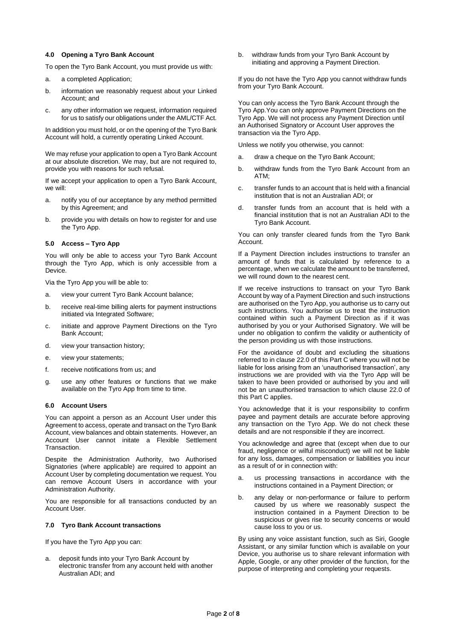# **4.0 Opening a Tyro Bank Account**

To open the Tyro Bank Account, you must provide us with:

- a. a completed Application;
- b. information we reasonably request about your Linked Account; and
- c. any other information we request, information required for us to satisfy our obligations under the AML/CTF Act.

In addition you must hold, or on the opening of the Tyro Bank Account will hold, a currently operating Linked Account.

We may refuse your application to open a Tyro Bank Account at our absolute discretion. We may, but are not required to, provide you with reasons for such refusal.

If we accept your application to open a Tyro Bank Account, we will:

- a. notify you of our acceptance by any method permitted by this Agreement; and
- b. provide you with details on how to register for and use the Tyro App.

## **5.0 Access – Tyro App**

You will only be able to access your Tyro Bank Account through the Tyro App, which is only accessible from a Device.

Via the Tyro App you will be able to:

- a. view your current Tyro Bank Account balance;
- b. receive real-time billing alerts for payment instructions initiated via Integrated Software;
- c. initiate and approve Payment Directions on the Tyro Bank Account;
- d. view your transaction history;
- e. view your statements;
- f. receive notifications from us; and
- g. use any other features or functions that we make available on the Tyro App from time to time.

# **6.0 Account Users**

You can appoint a person as an Account User under this Agreement to access, operate and transact on the Tyro Bank Account, view balances and obtain statements. However, an Account User cannot initate a Flexible Settlement Transaction.

Despite the Administration Authority, two Authorised Signatories (where applicable) are required to appoint an Account User by completing documentation we request. You can remove Account Users in accordance with your Administration Authority.

You are responsible for all transactions conducted by an Account User.

## **7.0 Tyro Bank Account transactions**

If you have the Tyro App you can:

a. deposit funds into your Tyro Bank Account by electronic transfer from any account held with another Australian ADI; and

b. withdraw funds from your Tyro Bank Account by initiating and approving a Payment Direction.

If you do not have the Tyro App you cannot withdraw funds from your Tyro Bank Account.

You can only access the Tyro Bank Account through the Tyro App.You can only approve Payment Directions on the Tyro App. We will not process any Payment Direction until an Authorised Signatory or Account User approves the transaction via the Tyro App.

Unless we notify you otherwise, you cannot:

- a. draw a cheque on the Tyro Bank Account;
- b. withdraw funds from the Tyro Bank Account from an ATM;
- c. transfer funds to an account that is held with a financial institution that is not an Australian ADI; or
- d. transfer funds from an account that is held with a financial institution that is not an Australian ADI to the Tyro Bank Account.

You can only transfer cleared funds from the Tyro Bank Account.

If a Payment Direction includes instructions to transfer an amount of funds that is calculated by reference to a percentage, when we calculate the amount to be transferred, we will round down to the nearest cent.

If we receive instructions to transact on your Tyro Bank Account by way of a Payment Direction and such instructions are authorised on the Tyro App, you authorise us to carry out such instructions. You authorise us to treat the instruction contained within such a Payment Direction as if it was authorised by you or your Authorised Signatory. We will be under no obligation to confirm the validity or authenticity of the person providing us with those instructions.

For the avoidance of doubt and excluding the situations referred to in clause [22.0](#page-4-0) of this Part C where you will not be liable for loss arising from an 'unauthorised transaction', any instructions we are provided with via the Tyro App will be taken to have been provided or authorised by you and will not be an unauthorised transaction to which clause [22.0](#page-4-0) of this Part C applies.

You acknowledge that it is your responsibility to confirm payee and payment details are accurate before approving any transaction on the Tyro App. We do not check these details and are not responsible if they are incorrect.

You acknowledge and agree that (except when due to our fraud, negligence or wilful misconduct) we will not be liable for any loss, damages, compensation or liabilities you incur as a result of or in connection with:

- a. us processing transactions in accordance with the instructions contained in a Payment Direction; or
- b. any delay or non-performance or failure to perform caused by us where we reasonably suspect the instruction contained in a Payment Direction to be suspicious or gives rise to security concerns or would cause loss to you or us.

By using any voice assistant function, such as Siri, Google Assistant, or any similar function which is available on your Device, you authorise us to share relevant information with Apple, Google, or any other provider of the function, for the purpose of interpreting and completing your requests.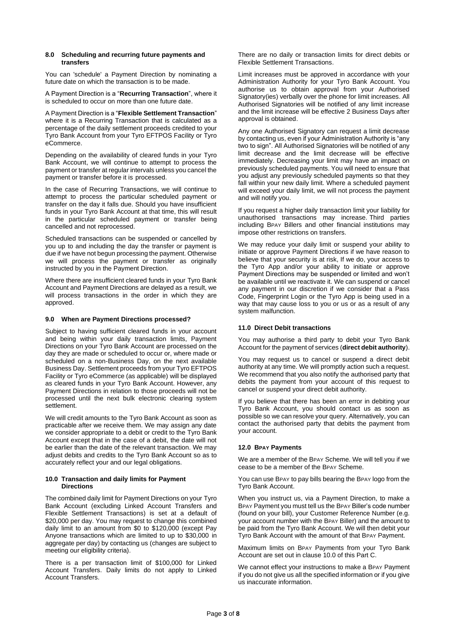#### <span id="page-2-0"></span>**8.0 Scheduling and recurring future payments and transfers**

You can 'schedule' a Payment Direction by nominating a future date on which the transaction is to be made.

A Payment Direction is a "**Recurring Transaction**", where it is scheduled to occur on more than one future date.

A Payment Direction is a "**Flexible Settlement Transaction**" where it is a Recurring Transaction that is calculated as a percentage of the daily settlement proceeds credited to your Tyro Bank Account from your Tyro EFTPOS Facility or Tyro eCommerce.

Depending on the availability of cleared funds in your Tyro Bank Account, we will continue to attempt to process the payment or transfer at regular intervals unless you cancel the payment or transfer before it is processed.

In the case of Recurring Transactions, we will continue to attempt to process the particular scheduled payment or transfer on the day it falls due. Should you have insufficient funds in your Tyro Bank Account at that time, this will result in the particular scheduled payment or transfer being cancelled and not reprocessed.

Scheduled transactions can be suspended or cancelled by you up to and including the day the transfer or payment is due if we have not begun processing the payment. Otherwise we will process the payment or transfer as originally instructed by you in the Payment Direction.

Where there are insufficient cleared funds in your Tyro Bank Account and Payment Directions are delayed as a result, we will process transactions in the order in which they are approved.

# **9.0 When are Payment Directions processed?**

Subject to having sufficient cleared funds in your account and being within your daily transaction limits, Payment Directions on your Tyro Bank Account are processed on the day they are made or scheduled to occur or, where made or scheduled on a non-Business Day, on the next available Business Day. Settlement proceeds from your Tyro EFTPOS Facility or Tyro eCommerce (as applicable) will be displayed as cleared funds in your Tyro Bank Account. However, any Payment Directions in relation to those proceeds will not be processed until the next bulk electronic clearing system settlement.

We will credit amounts to the Tyro Bank Account as soon as practicable after we receive them. We may assign any date we consider appropriate to a debit or credit to the Tyro Bank Account except that in the case of a debit, the date will not be earlier than the date of the relevant transaction. We may adjust debits and credits to the Tyro Bank Account so as to accurately reflect your and our legal obligations.

## <span id="page-2-1"></span>**10.0 Transaction and daily limits for Payment Directions**

The combined daily limit for Payment Directions on your Tyro Bank Account (excluding Linked Account Transfers and Flexible Settlement Transactions) is set at a default of \$20,000 per day. You may request to change this combined daily limit to an amount from \$0 to \$120,000 (except Pay Anyone transactions which are limited to up to \$30,000 in aggregate per day) by contacting us (changes are subject to meeting our eligibility criteria).

There is a per transaction limit of \$100,000 for Linked Account Transfers. Daily limits do not apply to Linked Account Transfers.

There are no daily or transaction limits for direct debits or Flexible Settlement Transactions.

Limit increases must be approved in accordance with your Administration Authority for your Tyro Bank Account. You authorise us to obtain approval from your Authorised Signatory(ies) verbally over the phone for limit increases. All Authorised Signatories will be notified of any limit increase and the limit increase will be effective 2 Business Days after approval is obtained.

Any one Authorised Signatory can request a limit decrease by contacting us, even if your Administration Authority is "any two to sign". All Authorised Signatories will be notified of any limit decrease and the limit decrease will be effective immediately. Decreasing your limit may have an impact on previously scheduled payments. You will need to ensure that you adjust any previously scheduled payments so that they fall within your new daily limit. Where a scheduled payment will exceed your daily limit, we will not process the payment and will notify you.

If you request a higher daily transaction limit your liability for unauthorised transactions may increase. Third parties including BPAY Billers and other financial institutions may impose other restrictions on transfers.

We may reduce your daily limit or suspend your ability to initiate or approve Payment Directions if we have reason to believe that your security is at risk, If we do, your access to the Tyro App and/or your ability to initiate or approve Payment Directions may be suspended or limited and won't be available until we reactivate it. We can suspend or cancel any payment in our discretion if we consider that a Pass Code, Fingerprint Login or the Tyro App is being used in a way that may cause loss to you or us or as a result of any system malfunction.

# **11.0 Direct Debit transactions**

You may authorise a third party to debit your Tyro Bank Account for the payment of services (**direct debit authority**).

You may request us to cancel or suspend a direct debit authority at any time. We will promptly action such a request. We recommend that you also notify the authorised party that debits the payment from your account of this request to cancel or suspend your direct debit authority.

If you believe that there has been an error in debiting your Tyro Bank Account, you should contact us as soon as possible so we can resolve your query. Alternatively, you can contact the authorised party that debits the payment from your account.

# **12.0 BPAY Payments**

We are a member of the BPAY Scheme. We will tell you if we cease to be a member of the BPAY Scheme.

You can use BPAY to pay bills bearing the BPAY logo from the Tyro Bank Account.

When you instruct us, via a Payment Direction, to make a BPAY Payment you must tell us the BPAY Biller's code number (found on your bill), your Customer Reference Number (e.g. your account number with the BPAY Biller) and the amount to be paid from the Tyro Bank Account. We will then debit your Tyro Bank Account with the amount of that BPAY Payment.

Maximum limits on BPAY Payments from your Tyro Bank Account are set out in claus[e 10.0](#page-2-1) of this Part C.

We cannot effect your instructions to make a BPAY Payment if you do not give us all the specified information or if you give us inaccurate information.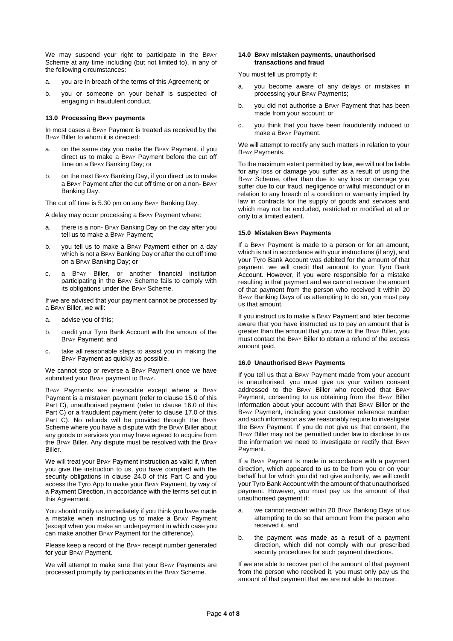We may suspend your right to participate in the BPAY Scheme at any time including (but not limited to), in any of the following circumstances:

- a. you are in breach of the terms of this Agreement; or
- b. you or someone on your behalf is suspected of engaging in fraudulent conduct.

## **13.0 Processing BPAY payments**

In most cases a BPAY Payment is treated as received by the BPAY Biller to whom it is directed:

- a. on the same day you make the BPAY Payment, if you direct us to make a BPAY Payment before the cut off time on a BPAY Banking Day; or
- b. on the next BPAY Banking Day, if you direct us to make a BPAY Payment after the cut off time or on a non- BPAY Banking Day.

The cut off time is 5.30 pm on any BPAY Banking Day.

A delay may occur processing a BPAY Payment where:

- a. there is a non- BPAY Banking Day on the day after you tell us to make a BPAY Payment;
- b. you tell us to make a BPAY Payment either on a day which is not a BPAY Banking Day or after the cut off time on a BPAY Banking Day; or
- c. a BPAY Biller, or another financial institution participating in the BPAY Scheme fails to comply with its obligations under the BPAY Scheme.

If we are advised that your payment cannot be processed by a BPAY Biller, we will:

- a. advise you of this;
- b. credit your Tyro Bank Account with the amount of the BPAY Payment; and
- c. take all reasonable steps to assist you in making the BPAY Payment as quickly as possible.

We cannot stop or reverse a BPAY Payment once we have submitted your BPAY payment to BPAY.

BPAY Payments are irrevocable except where a BPAY Payment is a mistaken payment (refer to clause [15.0](#page-3-0) of this Part C), unauthorised payment (refer to clause [16.0](#page-3-1) of this Part C) or a fraudulent payment (refer to clause [17.0](#page-4-1) of this Part C). No refunds will be provided through the BPAY Scheme where you have a dispute with the BPAY Biller about any goods or services you may have agreed to acquire from the BPAY Biller. Any dispute must be resolved with the BPAY Biller.

We will treat your BPAY Payment instruction as valid if, when you give the instruction to us, you have complied with the security obligations in clause [24.0](#page-5-0) of this Part C and you access the Tyro App to make your BPAY Payment, by way of a Payment Direction, in accordance with the terms set out in this Agreement.

You should notify us immediately if you think you have made a mistake when instructing us to make a BPAY Payment (except when you make an underpayment in which case you can make another BPAY Payment for the difference).

Please keep a record of the BPAY receipt number generated for your BPAY Payment.

We will attempt to make sure that your BPAY Payments are processed promptly by participants in the BPAY Scheme.

#### **14.0 BPAY mistaken payments, unauthorised transactions and fraud**

You must tell us promptly if:

- a. you become aware of any delays or mistakes in processing your BPAY Payments;
- b. you did not authorise a BPAY Payment that has been made from your account; or
- c. you think that you have been fraudulently induced to make a BPAY Payment.

We will attempt to rectify any such matters in relation to your BPAY Payments.

To the maximum extent permitted by law, we will not be liable for any loss or damage you suffer as a result of using the BPAY Scheme, other than due to any loss or damage you suffer due to our fraud, negligence or wilful misconduct or in relation to any breach of a condition or warranty implied by law in contracts for the supply of goods and services and which may not be excluded, restricted or modified at all or only to a limited extent.

# <span id="page-3-0"></span>**15.0 Mistaken BPAY Payments**

If a BPAY Payment is made to a person or for an amount, which is not in accordance with your instructions (if any), and your Tyro Bank Account was debited for the amount of that payment, we will credit that amount to your Tyro Bank Account. However, if you were responsible for a mistake resulting in that payment and we cannot recover the amount of that payment from the person who received it within 20 BPAY Banking Days of us attempting to do so, you must pay us that amount.

If you instruct us to make a BPAY Payment and later become aware that you have instructed us to pay an amount that is greater than the amount that you owe to the BPAY Biller, you must contact the BPAY Biller to obtain a refund of the excess amount paid.

## <span id="page-3-1"></span>**16.0 Unauthorised BPAY Payments**

If you tell us that a BPAY Payment made from your account is unauthorised, you must give us your written consent addressed to the BPAY Biller who received that BPAY Payment, consenting to us obtaining from the BPAY Biller information about your account with that BPAY Biller or the BPAY Payment, including your customer reference number and such information as we reasonably require to investigate the BPAY Payment. If you do not give us that consent, the BPAY Biller may not be permitted under law to disclose to us the information we need to investigate or rectify that BPAY Payment.

If a BPAY Payment is made in accordance with a payment direction, which appeared to us to be from you or on your behalf but for which you did not give authority, we will credit your Tyro Bank Account with the amount of that unauthorised payment. However, you must pay us the amount of that unauthorised payment if:

- we cannot recover within 20 BPAY Banking Days of us attempting to do so that amount from the person who received it, and
- b. the payment was made as a result of a payment direction, which did not comply with our prescribed security procedures for such payment directions.

If we are able to recover part of the amount of that payment from the person who received it, you must only pay us the amount of that payment that we are not able to recover.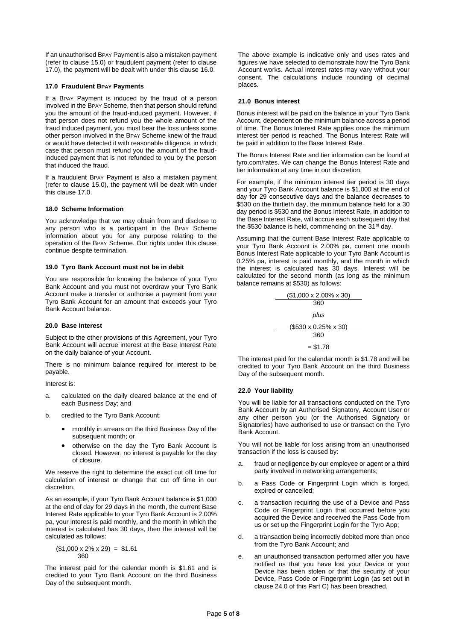If an unauthorised BPAY Payment is also a mistaken payment (refer to clause [15.0\)](#page-3-0) or fraudulent payment (refer to clause [17.0\)](#page-4-1), the payment will be dealt with under this claus[e 16.0.](#page-3-1)

# <span id="page-4-1"></span>**17.0 Fraudulent BPAY Payments**

If a BPAY Payment is induced by the fraud of a person involved in the BPAY Scheme, then that person should refund you the amount of the fraud-induced payment. However, if that person does not refund you the whole amount of the fraud induced payment, you must bear the loss unless some other person involved in the BPAY Scheme knew of the fraud or would have detected it with reasonable diligence, in which case that person must refund you the amount of the fraudinduced payment that is not refunded to you by the person that induced the fraud.

If a fraudulent BPAY Payment is also a mistaken payment (refer to clause [15.0\)](#page-3-0), the payment will be dealt with under this clause [17.0.](#page-4-1)

# **18.0 Scheme Information**

You acknowledge that we may obtain from and disclose to any person who is a participant in the BPAY Scheme information about you for any purpose relating to the operation of the BPAY Scheme. Our rights under this clause continue despite termination.

## **19.0 Tyro Bank Account must not be in debit**

You are responsible for knowing the balance of your Tyro Bank Account and you must not overdraw your Tyro Bank Account make a transfer or authorise a payment from your Tyro Bank Account for an amount that exceeds your Tyro Bank Account balance.

## **20.0 Base Interest**

Subject to the other provisions of this Agreement, your Tyro Bank Account will accrue interest at the Base Interest Rate on the daily balance of your Account.

There is no minimum balance required for interest to be payable.

Interest is:

- a. calculated on the daily cleared balance at the end of each Business Day; and
- b. credited to the Tyro Bank Account:
	- monthly in arrears on the third Business Day of the subsequent month; or
	- otherwise on the day the Tyro Bank Account is closed. However, no interest is payable for the day of closure.

We reserve the right to determine the exact cut off time for calculation of interest or change that cut off time in our discretion.

As an example, if your Tyro Bank Account balance is \$1,000 at the end of day for 29 days in the month, the current Base Interest Rate applicable to your Tyro Bank Account is 2.00% pa, your interest is paid monthly, and the month in which the interest is calculated has 30 days, then the interest will be calculated as follows:

$$
\frac{\text{($1,000 x 2\% x 29)}}{360} = $1.61
$$

The interest paid for the calendar month is \$1.61 and is credited to your Tyro Bank Account on the third Business Day of the subsequent month.

The above example is indicative only and uses rates and figures we have selected to demonstrate how the Tyro Bank Account works. Actual interest rates may vary without your consent. The calculations include rounding of decimal places.

# **21.0 Bonus interest**

Bonus interest will be paid on the balance in your Tyro Bank Account, dependent on the minimum balance across a period of time. The Bonus Interest Rate applies once the minimum interest tier period is reached. The Bonus Interest Rate will be paid in addition to the Base Interest Rate.

The Bonus Interest Rate and tier information can be found at tyro.com/rates. We can change the Bonus Interest Rate and tier information at any time in our discretion.

For example, if the minimum interest tier period is 30 days and your Tyro Bank Account balance is \$1,000 at the end of day for 29 consecutive days and the balance decreases to \$530 on the thirtieth day, the minimum balance held for a 30 day period is \$530 and the Bonus Interest Rate, in addition to the Base Interest Rate, will accrue each subsequent day that the \$530 balance is held, commencing on the 31<sup>st</sup> day.

Assuming that the current Base Interest Rate applicable to your Tyro Bank Account is 2.00% pa, current one month Bonus Interest Rate applicable to your Tyro Bank Account is 0.25% pa, interest is paid monthly, and the month in which the interest is calculated has 30 days. Interest will be calculated for the second month (as long as the minimum balance remains at \$530) as follows:

$$
\frac{\text{($1,000 x 2.00% x 30)}}{360}
$$
\n
$$
plus
$$
\n
$$
\frac{\text{($530 x 0.25% x 30)}}{360}
$$
\n
$$
= $1.78
$$

The interest paid for the calendar month is \$1.78 and will be credited to your Tyro Bank Account on the third Business Day of the subsequent month.

# <span id="page-4-0"></span>**22.0 Your liability**

You will be liable for all transactions conducted on the Tyro Bank Account by an Authorised Signatory, Account User or any other person you (or the Authorised Signatory or Signatories) have authorised to use or transact on the Tyro Bank Account.

You will not be liable for loss arising from an unauthorised transaction if the loss is caused by:

- a. fraud or negligence by our employee or agent or a third party involved in networking arrangements;
- b. a Pass Code or Fingerprint Login which is forged, expired or cancelled;
- c. a transaction requiring the use of a Device and Pass Code or Fingerprint Login that occurred before you acquired the Device and received the Pass Code from us or set up the Fingerprint Login for the Tyro App;
- d. a transaction being incorrectly debited more than once from the Tyro Bank Account; and
- e. an unauthorised transaction performed after you have notified us that you have lost your Device or your Device has been stolen or that the security of your Device, Pass Code or Fingerprint Login (as set out in claus[e 24.0](#page-5-0) of this Part C) has been breached.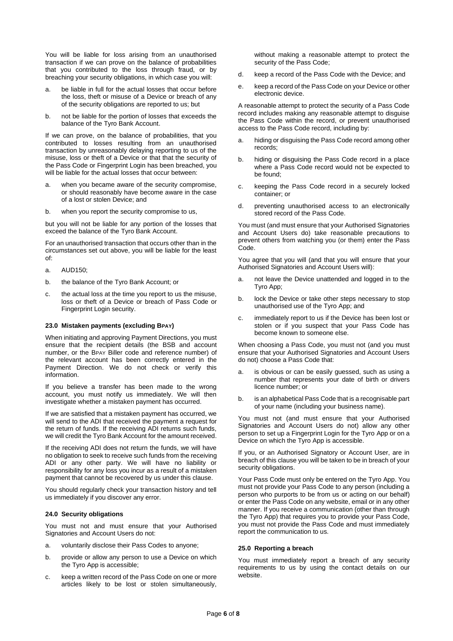You will be liable for loss arising from an unauthorised transaction if we can prove on the balance of probabilities that you contributed to the loss through fraud, or by breaching your security obligations, in which case you will:

- a. be liable in full for the actual losses that occur before the loss, theft or misuse of a Device or breach of any of the security obligations are reported to us; but
- b. not be liable for the portion of losses that exceeds the balance of the Tyro Bank Account.

If we can prove, on the balance of probabilities, that you contributed to losses resulting from an unauthorised transaction by unreasonably delaying reporting to us of the misuse, loss or theft of a Device or that that the security of the Pass Code or Fingerprint Login has been breached, you will be liable for the actual losses that occur between:

- a. when you became aware of the security compromise, or should reasonably have become aware in the case of a lost or stolen Device; and
- b. when you report the security compromise to us,

but you will not be liable for any portion of the losses that exceed the balance of the Tyro Bank Account.

For an unauthorised transaction that occurs other than in the circumstances set out above, you will be liable for the least of:

- a. AUD150;
- b. the balance of the Tyro Bank Account; or
- c. the actual loss at the time you report to us the misuse, loss or theft of a Device or breach of Pass Code or Fingerprint Login security.

## **23.0 Mistaken payments (excluding BPAY)**

When initiating and approving Payment Directions, you must ensure that the recipient details (the BSB and account number, or the BPAY Biller code and reference number) of the relevant account has been correctly entered in the Payment Direction. We do not check or verify this information.

If you believe a transfer has been made to the wrong account, you must notify us immediately. We will then investigate whether a mistaken payment has occurred.

If we are satisfied that a mistaken payment has occurred, we will send to the ADI that received the payment a request for the return of funds. If the receiving ADI returns such funds, we will credit the Tyro Bank Account for the amount received.

If the receiving ADI does not return the funds, we will have no obligation to seek to receive such funds from the receiving ADI or any other party. We will have no liability or responsibility for any loss you incur as a result of a mistaken payment that cannot be recovered by us under this clause.

You should regularly check your transaction history and tell us immediately if you discover any error.

## <span id="page-5-0"></span>**24.0 Security obligations**

You must not and must ensure that your Authorised Signatories and Account Users do not:

- a. voluntarily disclose their Pass Codes to anyone;
- b. provide or allow any person to use a Device on which the Tyro App is accessible;
- c. keep a written record of the Pass Code on one or more articles likely to be lost or stolen simultaneously,

without making a reasonable attempt to protect the security of the Pass Code;

- d. keep a record of the Pass Code with the Device; and
- e. keep a record of the Pass Code on your Device or other electronic device.

A reasonable attempt to protect the security of a Pass Code record includes making any reasonable attempt to disguise the Pass Code within the record, or prevent unauthorised access to the Pass Code record, including by:

- a. hiding or disguising the Pass Code record among other records;
- b. hiding or disguising the Pass Code record in a place where a Pass Code record would not be expected to be found;
- c. keeping the Pass Code record in a securely locked container; or
- d. preventing unauthorised access to an electronically stored record of the Pass Code.

You must (and must ensure that your Authorised Signatories and Account Users do) take reasonable precautions to prevent others from watching you (or them) enter the Pass Code.

You agree that you will (and that you will ensure that your Authorised Signatories and Account Users will):

- a. not leave the Device unattended and logged in to the Tyro App;
- b. lock the Device or take other steps necessary to stop unauthorised use of the Tyro App; and
- c. immediately report to us if the Device has been lost or stolen or if you suspect that your Pass Code has become known to someone else.

When choosing a Pass Code, you must not (and you must ensure that your Authorised Signatories and Account Users do not) choose a Pass Code that:

- a. is obvious or can be easily guessed, such as using a number that represents your date of birth or drivers licence number; or
- b. is an alphabetical Pass Code that is a recognisable part of your name (including your business name).

You must not (and must ensure that your Authorised Signatories and Account Users do not) allow any other person to set up a Fingerprint Login for the Tyro App or on a Device on which the Tyro App is accessible.

If you, or an Authorised Signatory or Account User, are in breach of this clause you will be taken to be in breach of your security obligations.

Your Pass Code must only be entered on the Tyro App. You must not provide your Pass Code to any person (including a person who purports to be from us or acting on our behalf) or enter the Pass Code on any website, email or in any other manner. If you receive a communication (other than through the Tyro App) that requires you to provide your Pass Code, you must not provide the Pass Code and must immediately report the communication to us.

## **25.0 Reporting a breach**

You must immediately report a breach of any security requirements to us by using the contact details on our website.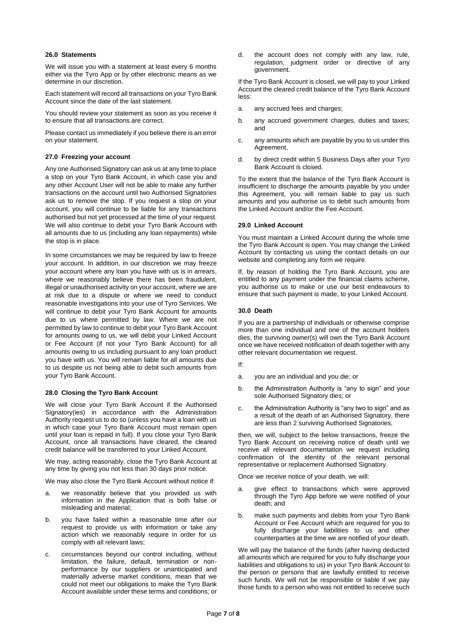# **26.0 Statements**

We will issue you with a statement at least every 6 months either via the Tyro App or by other electronic means as we determine in our discretion.

Each statement will record all transactions on your Tyro Bank Account since the date of the last statement.

You should review your statement as soon as you receive it to ensure that all transactions are correct.

Please contact us immediately if you believe there is an error on your statement.

# **27.0 Freezing your account**

Any one Authorised Signatory can ask us at any time to place a stop on your Tyro Bank Account, in which case you and any other Account User will not be able to make any further transactions on the account until two Authorised Signatories ask us to remove the stop. If you request a stop on your account, you will continue to be liable for any transactions authorised but not yet processed at the time of your request. We will also continue to debit your Tyro Bank Account with all amounts due to us (including any loan repayments) while the stop is in place.

In some circumstances we may be required by law to freeze your account. In addition, in our discretion we may freeze your account where any loan you have with us is in arrears, where we reasonably believe there has been fraudulent, illegal or unauthorised activity on your account, where we are at risk due to a dispute or where we need to conduct reasonable investigations into your use of Tyro Services. We will continue to debit your Tyro Bank Account for amounts due to us where permitted by law. Where we are not permitted by law to continue to debit your Tyro Bank Account for amounts owing to us, we will debit your Linked Account or Fee Account (if not your Tyro Bank Account) for all amounts owing to us including pursuant to any loan product you have with us. You will remain liable for all amounts due to us despite us not being able to debit such amounts from your Tyro Bank Account.

## **28.0 Closing the Tyro Bank Account**

We will close your Tyro Bank Account if the Authorised Signatory(ies) in accordance with the Administration Authority request us to do so (unless you have a loan with us in which case your Tyro Bank Account must remain open until your loan is repaid in full). If you close your Tyro Bank Account, once all transactions have cleared, the cleared credit balance will be transferred to your Linked Account.

We may, acting reasonably, close the Tyro Bank Account at any time by giving you not less than 30 days prior notice.

We may also close the Tyro Bank Account without notice if:

- we reasonably believe that you provided us with information in the Application that is both false or misleading and material;
- b. you have failed within a reasonable time after our request to provide us with information or take any action which we reasonably require in order for us comply with all relevant laws;
- c. circumstances beyond our control including, without limitation, the failure, default, termination or nonperformance by our suppliers or unanticipated and materially adverse market conditions, mean that we could not meet our obligations to make the Tyro Bank Account available under these terms and conditions; or

d. the account does not comply with any law, rule, regulation, judgment order or directive of any government.

If the Tyro Bank Account is closed, we will pay to your Linked Account the cleared credit balance of the Tyro Bank Account less:

- a. any accrued fees and charges;
- b. any accrued government charges, duties and taxes; and
- c. any amounts which are payable by you to us under this Agreement,
- d. by direct credit within 5 Business Days after your Tyro Bank Account is closed.

To the extent that the balance of the Tyro Bank Account is insufficient to discharge the amounts payable by you under this Agreement, you will remain liable to pay us such amounts and you authorise us to debit such amounts from the Linked Account and/or the Fee Account.

# **29.0 Linked Account**

You must maintain a Linked Account during the whole time the Tyro Bank Account is open. You may change the Linked Account by contacting us using the contact details on our website and completing any form we require.

If, by reason of holding the Tyro Bank Account, you are entitled to any payment under the financial claims scheme, you authorise us to make or use our best endeavours to ensure that such payment is made, to your Linked Account.

## **30.0 Death**

If you are a partnership of individuals or otherwise comprise more than one individual and one of the account holders dies, the surviving owner(s) will own the Tyro Bank Account once we have received notification of death together with any other relevant documentation we request.

- If:
- a. you are an individual and you die; or
- b. the Administration Authority is "any to sign" and your sole Authorised Signatory dies; or
- c. the Administration Authority is "any two to sign" and as a result of the death of an Authorised Signatory, there are less than 2 surviving Authorised Signatories,

then, we will, subject to the below transactions, freeze the Tyro Bank Account on receiving notice of death until we receive all relevant documentation we request including confirmation of the identity of the relevant personal representative or replacement Authorised Signatory.

Once we receive notice of your death, we will:

- give effect to transactions which were approved through the Tyro App before we were notified of your death; and
- b. make such payments and debits from your Tyro Bank Account or Fee Account which are required for you to fully discharge your liabilities to us and other counterparties at the time we are notified of your death.

We will pay the balance of the funds (after having deducted all amounts which are required for you to fully discharge your liabilities and obligations to us) in your Tyro Bank Account to the person or persons that are lawfully entitled to receive such funds. We will not be responsible or liable if we pay those funds to a person who was not entitled to receive such